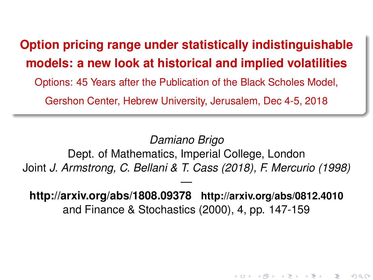# <span id="page-0-0"></span>**Option pricing range under statistically indistinguishable models: a new look at historical and implied volatilities** Options: 45 Years after the Publication of the Black Scholes Model,

Gershon Center, Hebrew University, Jerusalem, Dec 4-5, 2018

*Damiano Brigo* Dept. of Mathematics, Imperial College, London Joint *J. Armstrong, C. Bellani & T. Cass (2018), F. Mercurio (1998)*

 **http://arxiv.org/abs/1808.09378 http://arxiv.org/abs/0812.4010** and Finance & Stochastics (2000), 4, pp. 147-159

K ロ ▶ K @ ▶ K 할 ▶ K 할 ▶ ... 할

 $299$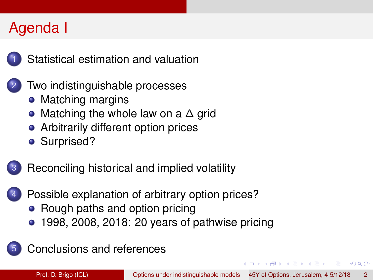# Agenda I



[Statistical estimation and valuation](#page-2-0)

- [Two indistinguishable processes](#page-7-0)
	- [Matching margins](#page-7-0)
	- [Matching the whole law on a](#page-13-0) ∆ grid
	- [Arbitrarily different option prices](#page-26-0)
	- [Surprised?](#page-31-0)



- [Possible explanation of arbitrary option prices?](#page-38-0)
	- [Rough paths and option pricing](#page-41-0)
	- [1998, 2008, 2018: 20 years of pathwise pricing](#page-51-0)



4 ロ ト ィ *ロ* ト ィ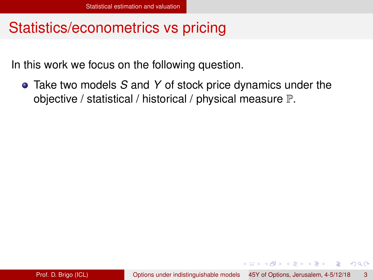<span id="page-2-0"></span>In this work we focus on the following question.

Take two models *S* and *Y* of stock price dynamics under the objective / statistical / historical / physical measure P.

( ロ ) ( *同* ) ( ヨ ) ( ヨ )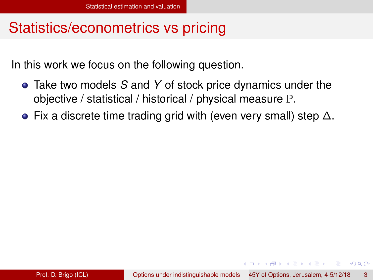<span id="page-3-0"></span>In this work we focus on the following question.

- Take two models *S* and *Y* of stock price dynamics under the objective / statistical / historical / physical measure P.
- Fix a discrete time trading grid with (even very small) step  $\Delta$ .

( ロ ) ( *同* ) ( ヨ ) ( ヨ )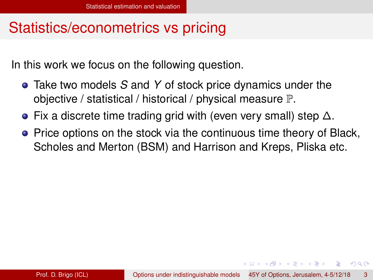<span id="page-4-0"></span>In this work we focus on the following question.

- Take two models *S* and *Y* of stock price dynamics under the objective / statistical / historical / physical measure P.
- Fix a discrete time trading grid with (even very small) step  $\Delta$ .
- Price options on the stock via the continuous time theory of Black, Scholes and Merton (BSM) and Harrison and Kreps, Pliska etc.

( ロ ) ( 何 ) ( ヨ ) ( ヨ ) (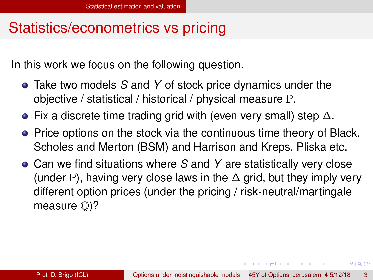<span id="page-5-0"></span>In this work we focus on the following question.

- Take two models *S* and *Y* of stock price dynamics under the objective / statistical / historical / physical measure P.
- **•** Fix a discrete time trading grid with (even very small) step  $\Delta$ .
- Price options on the stock via the continuous time theory of Black, Scholes and Merton (BSM) and Harrison and Kreps, Pliska etc.
- Can we find situations where *S* and *Y* are statistically very close (under P), having very close laws in the  $\Delta$  grid, but they imply very different option prices (under the pricing / risk-neutral/martingale measure Q)?

4 0 8 4 6 8 4 9 8 4 9 8 1

в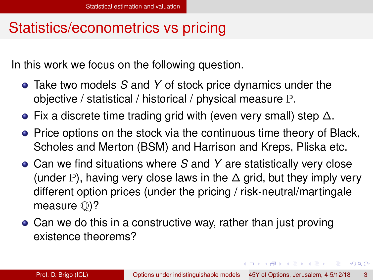<span id="page-6-0"></span>In this work we focus on the following question.

- Take two models *S* and *Y* of stock price dynamics under the objective / statistical / historical / physical measure P.
- **•** Fix a discrete time trading grid with (even very small) step  $\Delta$ .
- Price options on the stock via the continuous time theory of Black, Scholes and Merton (BSM) and Harrison and Kreps, Pliska etc.
- Can we find situations where *S* and *Y* are statistically very close (under P), having very close laws in the  $\Delta$  grid, but they imply very different option prices (under the pricing / risk-neutral/martingale measure Q)?
- Can we do this in a constructive way, rather than just proving existence theorems?

4 0 8 4 6 8 4 9 8 4 9 8 1

в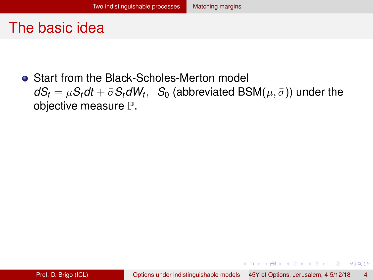<span id="page-7-0"></span>**• Start from the Black-Scholes-Merton model**  $dS_t = \mu S_t dt + \bar{\sigma} S_t dW_t, \; \; S_0$  (abbreviated  $\mathsf{BSM}(\mu, \bar{\sigma})$ ) under the objective measure P.

イロト イ押 トイラト イラト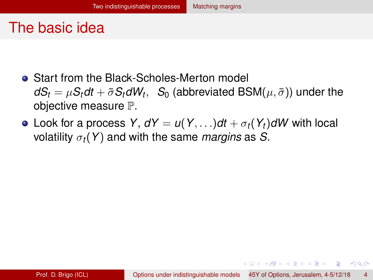- <span id="page-8-0"></span>**• Start from the Black-Scholes-Merton model**  $dS_t = \mu S_t dt + \bar{\sigma} S_t dW_t, \; \; S_0$  (abbreviated  $\mathsf{BSM}(\mu, \bar{\sigma})$ ) under the objective measure P.
- Look for a process *Y*,  $dY = u(Y, \ldots)dt + \sigma_t(Y_t)dW$  with local volatility σ*t*(*Y*) and with the same *margins* as *S*.

イロト イ押ト イヨト イヨトー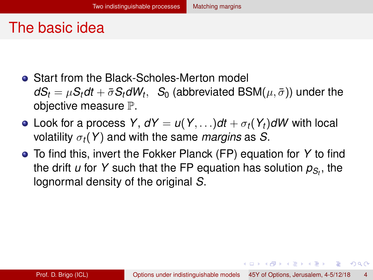- <span id="page-9-0"></span>**• Start from the Black-Scholes-Merton model**  $dS_t = \mu S_t dt + \bar{\sigma} S_t dW_t, \; \; S_0$  (abbreviated  $\mathsf{BSM}(\mu, \bar{\sigma})$ ) under the objective measure P.
- Look for a process *Y*,  $dY = u(Y, \ldots)dt + \sigma_t(Y_t)dW$  with local volatility  $\sigma_t(Y)$  and with the same *margins* as *S*.
- To find this, invert the Fokker Planck (FP) equation for *Y* to find the drift *u* for *Y* such that the FP equation has solution *pS<sup>t</sup>* , the lognormal density of the original *S*.

イロト イ押ト イヨト イヨトー

 $\Omega$ 

œ.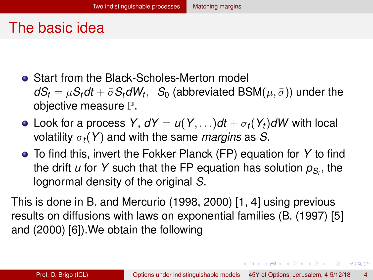- <span id="page-10-0"></span>**• Start from the Black-Scholes-Merton model**  $dS_t = \mu S_t dt + \bar{\sigma} S_t dW_t, \; \; S_0$  (abbreviated  $\mathsf{BSM}(\mu, \bar{\sigma})$ ) under the objective measure P.
- Look for a process *Y*,  $dY = u(Y, \ldots)dt + \sigma_t(Y_t)dW$  with local volatility σ*t*(*Y*) and with the same *margins* as *S*.
- To find this, invert the Fokker Planck (FP) equation for *Y* to find the drift *u* for *Y* such that the FP equation has solution *pS<sup>t</sup>* , the lognormal density of the original *S*.

This is done in B. and Mercurio (1998, 2000) [\[1,](#page-56-1) [4\]](#page-56-2) using previous results on diffusions with laws on exponential families (B. (1997) [\[5\]](#page-57-0) and (2000) [\[6\]](#page-57-1)).We obtain the following

K ロ > K 個 > K 로 > K 로 > → 로 → K Q Q Q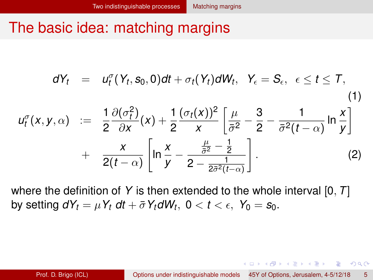### <span id="page-11-0"></span>The basic idea: matching margins

$$
dY_t = u_t^{\sigma}(Y_t, s_0, 0)dt + \sigma_t(Y_t)dW_t, \quad Y_{\epsilon} = S_{\epsilon}, \quad \epsilon \leq t \leq T,
$$
\n
$$
u_t^{\sigma}(x, y, \alpha) := \frac{1}{2} \frac{\partial(\sigma_t^2)}{\partial x}(x) + \frac{1}{2} \frac{(\sigma_t(x))^2}{x} \left[ \frac{\mu}{\sigma^2} - \frac{3}{2} - \frac{1}{\sigma^2(t - \alpha)} \ln \frac{x}{y} \right] + \frac{x}{2(t - \alpha)} \left[ \ln \frac{x}{y} - \frac{\frac{\mu}{\sigma^2} - \frac{1}{2}}{2 - \frac{1}{2\sigma^2(t - \alpha)}} \right].
$$
\n(2)

where the definition of *Y* is then extended to the whole interval [0, *T*] by setting  $dY_t = \mu Y_t dt + \bar{\sigma} Y_t dW_t$ ,  $0 < t < \epsilon$ ,  $Y_0 = s_0$ .

イロト イ押ト イヨト イヨトー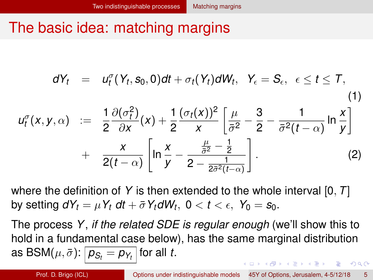# <span id="page-12-0"></span>The basic idea: matching margins

$$
dY_t = u_t^{\sigma}(Y_t, s_0, 0)dt + \sigma_t(Y_t)dW_t, \quad Y_{\epsilon} = S_{\epsilon}, \quad \epsilon \leq t \leq T,
$$
\n
$$
u_t^{\sigma}(x, y, \alpha) := \frac{1}{2}\frac{\partial(\sigma_t^2)}{\partial x}(x) + \frac{1}{2}\frac{(\sigma_t(x))^2}{x}\left[\frac{\mu}{\sigma^2} - \frac{3}{2} - \frac{1}{\sigma^2(t-\alpha)}\ln\frac{x}{y}\right] + \frac{x}{2(t-\alpha)}\left[\ln\frac{x}{y} - \frac{\frac{\mu}{\sigma^2} - \frac{1}{2}}{2 - \frac{1}{2\sigma^2(t-\alpha)}}\right].
$$
\n(2)

where the definition of *Y* is then extended to the whole interval [0, *T*] by setting  $dY_t = \mu Y_t dt + \bar{\sigma} Y_t dW_t$ ,  $0 < t < \epsilon$ ,  $Y_0 = s_0$ .

The process *Y*, *if the related SDE is regular enough* (we'll show this to hold in a fundamental case below), has the same marginal distribution as BSM $(\mu, \bar{\sigma})$ :  $\left|\rho_{\mathcal{S}_t} = \rho_{\mathcal{Y}_t}\right|$  for all  $t.$ イロト イ押ト イヨト イヨトー  $\Omega$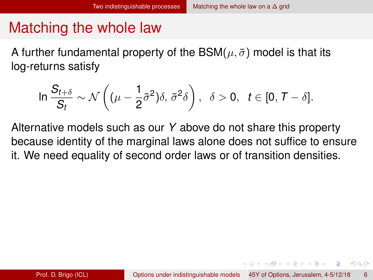<span id="page-13-0"></span>A further fundamental property of the BSM( $\mu$ ,  $\bar{\sigma}$ ) model is that its log-returns satisfy

$$
\ln \frac{S_{t+\delta}}{S_t} \sim \mathcal{N}\left((\mu - \frac{1}{2}\bar{\sigma}^2)\delta, \bar{\sigma}^2\delta\right), \ \ \delta > 0, \ \ t \in [0, \mathcal{T} - \delta].
$$

Alternative models such as our *Y* above do not share this property because identity of the marginal laws alone does not suffice to ensure it. We need equality of second order laws or of transition densities.

イロト イ押ト イヨト イヨトー

в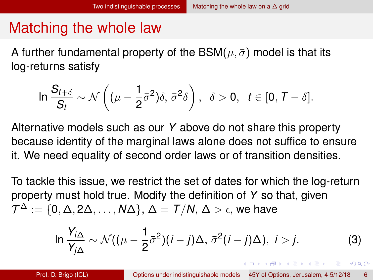<span id="page-14-0"></span>A further fundamental property of the BSM( $\mu$ ,  $\bar{\sigma}$ ) model is that its log-returns satisfy

$$
\ln \frac{S_{t+\delta}}{S_t} \sim \mathcal{N}\left((\mu - \frac{1}{2}\bar{\sigma}^2)\delta, \bar{\sigma}^2\delta\right), \ \ \delta > 0, \ \ t \in [0, \mathcal{T} - \delta].
$$

Alternative models such as our *Y* above do not share this property because identity of the marginal laws alone does not suffice to ensure it. We need equality of second order laws or of transition densities.

To tackle this issue, we restrict the set of dates for which the log-return property must hold true. Modify the definition of *Y* so that, given  $\mathcal{T}^{\Delta}:=\{0,\Delta,2\Delta,\ldots,\mathsf{N}\Delta\},\,\Delta=\mathcal{T}/\mathcal{N},\,\Delta>\epsilon,$  we have

$$
\ln \frac{Y_{i\Delta}}{Y_{j\Delta}} \sim \mathcal{N}((\mu - \frac{1}{2}\bar{\sigma}^2)(i - j)\Delta, \bar{\sigma}^2(i - j)\Delta), i > j.
$$
 (3)

KEL KALLARIN (RINGEL AGA)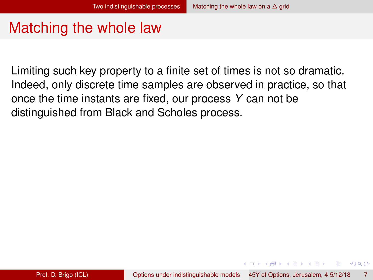<span id="page-15-0"></span>Limiting such key property to a finite set of times is not so dramatic. Indeed, only discrete time samples are observed in practice, so that once the time instants are fixed, our process *Y* can not be distinguished from Black and Scholes process.

イロト イ押 トイラト イラト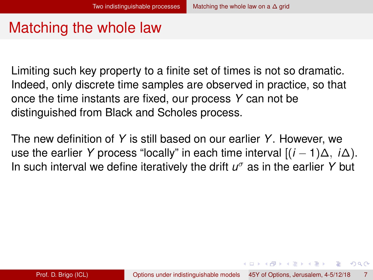<span id="page-16-0"></span>Limiting such key property to a finite set of times is not so dramatic. Indeed, only discrete time samples are observed in practice, so that once the time instants are fixed, our process *Y* can not be distinguished from Black and Scholes process.

The new definition of *Y* is still based on our earlier *Y*. However, we use the earlier *Y* process "locally" in each time interval [(*i* − 1)∆, *i*∆). In such interval we define iteratively the drift *u* <sup>σ</sup> as in the earlier *Y* but

( ロ ) ( 何 ) ( ヨ ) ( ヨ ) (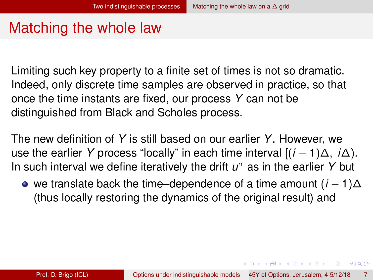<span id="page-17-0"></span>Limiting such key property to a finite set of times is not so dramatic. Indeed, only discrete time samples are observed in practice, so that once the time instants are fixed, our process *Y* can not be distinguished from Black and Scholes process.

The new definition of *Y* is still based on our earlier *Y*. However, we use the earlier *Y* process "locally" in each time interval [(*i* − 1)∆, *i*∆). In such interval we define iteratively the drift *u* <sup>σ</sup> as in the earlier *Y* but

we translate back the time–dependence of a time amount (*i* − 1)∆ (thus locally restoring the dynamics of the original result) and

4 0 8 4 6 8 4 9 8 4 9 8 1

в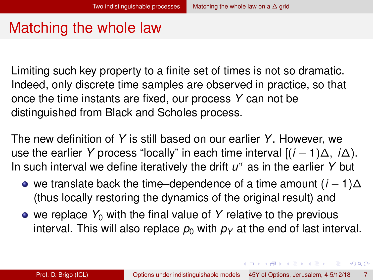<span id="page-18-0"></span>Limiting such key property to a finite set of times is not so dramatic. Indeed, only discrete time samples are observed in practice, so that once the time instants are fixed, our process *Y* can not be distinguished from Black and Scholes process.

The new definition of *Y* is still based on our earlier *Y*. However, we use the earlier *Y* process "locally" in each time interval [(*i* − 1)∆, *i*∆). In such interval we define iteratively the drift *u* <sup>σ</sup> as in the earlier *Y* but

- we translate back the time–dependence of a time amount  $(i 1)\Delta$ (thus locally restoring the dynamics of the original result) and
- we replace  $Y_0$  with the final value of Y relative to the previous interval. This will also replace  $p_0$  with  $p_1$  at the end of last interval.

イロト イ押 トイラ トイラトー

G.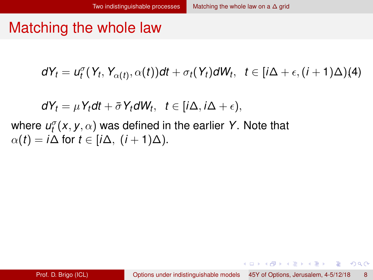<span id="page-19-0"></span>
$$
dY_t = u_t^{\sigma}(Y_t, Y_{\alpha(t)}, \alpha(t))dt + \sigma_t(Y_t)dW_t, \quad t \in [i\Delta + \epsilon, (i+1)\Delta)(4)
$$

 $dY_t = \mu Y_t dt + \bar{\sigma} Y_t dW_t, \quad t \in [i\Delta, i\Delta + \epsilon),$ 

where  $\mathcal{u}^{\sigma}_t(x,y,\alpha)$  was defined in the earlier  $Y$ . Note that  $\alpha(t) = i\Delta$  for  $t \in [i\Delta, (i+1)\Delta)$ .

4 0 8 4 4 9 8 4 9 8 4 9 8

 $\Omega$ 

э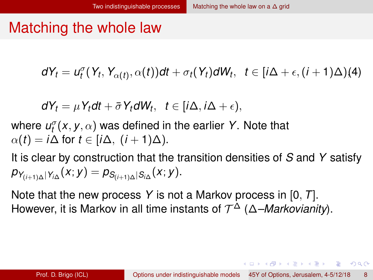<span id="page-20-0"></span>
$$
dY_t = u_t^{\sigma}(Y_t, Y_{\alpha(t)}, \alpha(t))dt + \sigma_t(Y_t)dW_t, \quad t \in [i\Delta + \epsilon, (i+1)\Delta)(4)
$$

$$
dY_t = \mu Y_t dt + \bar{\sigma} Y_t dW_t, \ \ t \in [i\Delta, i\Delta + \epsilon),
$$

where  $\mathcal{u}^{\sigma}_t(x,y,\alpha)$  was defined in the earlier  $Y$ . Note that  $\alpha(t) = i\Delta$  for  $t \in [i\Delta, (i+1)\Delta)$ .

It is clear by construction that the transition densities of *S* and *Y* satisfy  $\begin{aligned} \rho_{Y_{(i+1)\Delta}|Y_{i\Delta}}(x;y)=\rho_{S_{(i+1)\Delta}|S_{i\Delta}}(x;y). \end{aligned}$ 

Note that the new process *Y* is not a Markov process in [0, *T*]. However, it is Markov in all time instants of T <sup>∆</sup> (∆*–Markovianity*).

イロト イ押 トイラ トイラトー

G.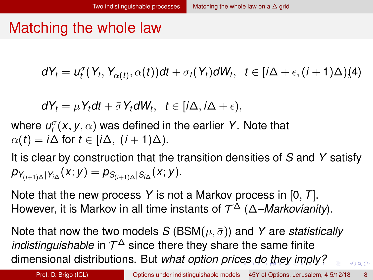<span id="page-21-0"></span>
$$
dY_t = u_t^{\sigma}(Y_t, Y_{\alpha(t)}, \alpha(t))dt + \sigma_t(Y_t)dW_t, \quad t \in [i\Delta + \epsilon, (i+1)\Delta)(4)
$$

$$
dY_t = \mu Y_t dt + \bar{\sigma} Y_t dW_t, \ \ t \in [i\Delta, i\Delta + \epsilon),
$$

where  $\mathcal{u}^{\sigma}_t(x,y,\alpha)$  was defined in the earlier  $Y$ . Note that  $\alpha(t) = i\Delta$  for  $t \in [i\Delta, (i+1)\Delta)$ .

It is clear by construction that the transition densities of *S* and *Y* satisfy  $\begin{aligned} \rho_{Y_{(i+1)\Delta}|Y_{i\Delta}}(x;y)=\rho_{S_{(i+1)\Delta}|S_{i\Delta}}(x;y). \end{aligned}$ 

Note that the new process *Y* is not a Markov process in [0, *T*]. However, it is Markov in all time instants of T <sup>∆</sup> (∆*–Markovianity*).

Note that now the two models *S* (BSM $(\mu, \bar{\sigma})$ ) and *Y* are *statistically indistinguishable* in  $T^{\Delta}$  since there they share the same finite dimensional distributions. But *what option pric[es](#page-20-0) [d](#page-22-0)[o](#page-18-0) [t](#page-19-0)[h](#page-21-0)[e](#page-22-0)[y](#page-12-0)[i](#page-25-0)[m](#page-26-0)[p](#page-6-0)[l](#page-7-0)[y](#page-33-0)[?](#page-34-0)*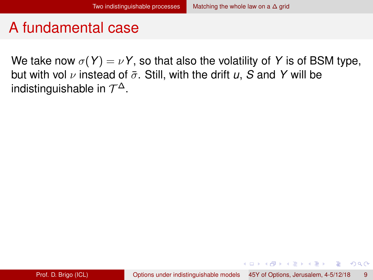<span id="page-22-0"></span>We take now  $\sigma(Y) = \nu Y$ , so that also the volatility of Y is of BSM type, but with vol  $\nu$  instead of  $\bar{\sigma}$ . Still, with the drift  $\mu$ , S and Y will be indistinguishable in  $\mathcal{T}^{\Delta}.$ 

4 0 8 4 4 9 8 4 9 8 4 9 8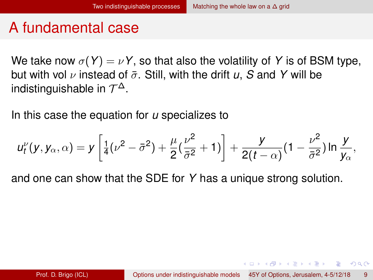<span id="page-23-0"></span>We take now  $\sigma(Y) = \nu Y$ , so that also the volatility of Y is of BSM type, but with vol  $\nu$  instead of  $\bar{\sigma}$ . Still, with the drift  $\mu$ , S and Y will be indistinguishable in  $\mathcal{T}^{\Delta}.$ 

In this case the equation for *u* specializes to

$$
u_t^{\nu}(y, y_{\alpha}, \alpha) = y \left[ \frac{1}{4} (\nu^2 - \bar{\sigma}^2) + \frac{\mu}{2} (\frac{\nu^2}{\bar{\sigma}^2} + 1) \right] + \frac{y}{2(t - \alpha)} (1 - \frac{\nu^2}{\bar{\sigma}^2}) \ln \frac{y}{y_{\alpha}},
$$

and one can show that the SDE for *Y* has a unique strong solution.

イロト イ押ト イヨト イヨトー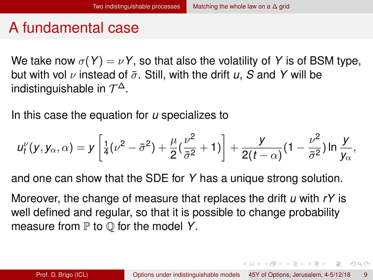<span id="page-24-0"></span>We take now  $\sigma(Y) = \nu Y$ , so that also the volatility of Y is of BSM type, but with vol  $\nu$  instead of  $\bar{\sigma}$ . Still, with the drift  $\mu$ , S and Y will be indistinguishable in  $\mathcal{T}^{\Delta}.$ 

In this case the equation for *u* specializes to

$$
u_t^{\nu}(y, y_{\alpha}, \alpha) = y \left[ \frac{1}{4} (\nu^2 - \bar{\sigma}^2) + \frac{\mu}{2} (\frac{\nu^2}{\bar{\sigma}^2} + 1) \right] + \frac{y}{2(t - \alpha)} (1 - \frac{\nu^2}{\bar{\sigma}^2}) \ln \frac{y}{y_{\alpha}},
$$

and one can show that the SDE for *Y* has a unique strong solution.

Moreover, the change of measure that replaces the drift *u* with *rY* is well defined and regular, so that it is possible to change probability measure from  $P$  to  $Q$  for the model Y.

KEL KALLARIN (RINGEL AGA)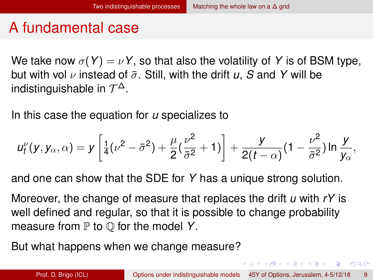<span id="page-25-0"></span>We take now  $\sigma(Y) = \nu Y$ , so that also the volatility of Y is of BSM type, but with vol  $\nu$  instead of  $\bar{\sigma}$ . Still, with the drift  $\mu$ , S and Y will be indistinguishable in  $\mathcal{T}^{\Delta}.$ 

In this case the equation for *u* specializes to

$$
u_t^{\nu}(y, y_{\alpha}, \alpha) = y \left[ \frac{1}{4} (\nu^2 - \bar{\sigma}^2) + \frac{\mu}{2} (\frac{\nu^2}{\bar{\sigma}^2} + 1) \right] + \frac{y}{2(t - \alpha)} (1 - \frac{\nu^2}{\bar{\sigma}^2}) \ln \frac{y}{y_{\alpha}},
$$

and one can show that the SDE for *Y* has a unique strong solution.

Moreover, the change of measure that replaces the drift *u* with *rY* is well defined and regular, so that it is possible to change probability measure from  $P$  to  $Q$  for the model Y.

But what happens when we change measure?

KEL KALLARIN (RINGEL AGA)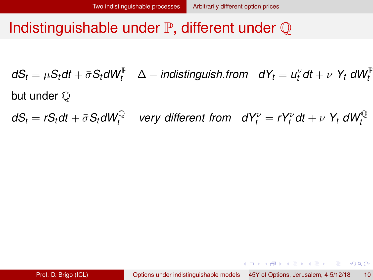### <span id="page-26-0"></span>Indistinguishable under  $\mathbb P$ , different under  $\mathbb Q$

 $dS_t = \mu S_t dt + \bar{\sigma} S_t dW_t^{\mathbb{P}}$  ∆ − *indistinguish.from dY*<sub>*t*</sub> =  $u_t^{\nu} dt + \nu$  Y<sub>t</sub> dW $_t^{\mathbb{P}}$ but under  $\mathbb O$ 

 $dS_t = rS_t dt + \bar{\sigma} S_t dW_t^{\mathbb{Q}}$  very different from  $dY_t^{\nu} = rY_t^{\nu} dt + \nu \; Y_t \; dW_t^{\mathbb{Q}}$ 

K ロ ▶ K 個 ▶ K 로 ▶ K 로 ▶ - 로 - K 9 Q @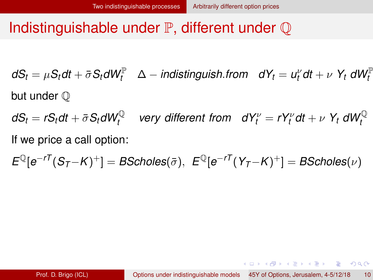<span id="page-27-0"></span> $dS_t = \mu S_t dt + \bar{\sigma} S_t dW_t^{\mathbb{P}}$  ∆ − *indistinguish.from dY*<sub>*t*</sub> =  $u_t^{\nu} dt + \nu$  Y<sub>t</sub> dW $_t^{\mathbb{P}}$ but under  $\mathbb O$ 

 $dS_t = rS_t dt + \bar{\sigma} S_t dW_t^{\mathbb{Q}}$  very different from  $dY_t^{\nu} = rY_t^{\nu} dt + \nu \; Y_t \; dW_t^{\mathbb{Q}}$ If we price a call option:

 $E^{\mathbb{Q}}[e^{-r\mathcal{T}}(S_{\mathcal{T}}-K)^+] = B$ Scholes $(\bar{\sigma}),\; E^{\mathbb{Q}}[e^{-r\mathcal{T}}(Y_{\mathcal{T}}-K)^+] = B$ Scholes $(\nu)$ 

K ロ ▶ K 個 ▶ K 로 ▶ K 로 ▶ - 로 - K 9 Q @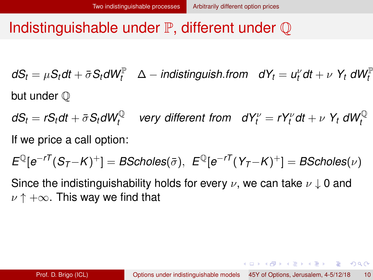<span id="page-28-0"></span> $dS_t = \mu S_t dt + \bar{\sigma} S_t dW_t^{\mathbb{P}}$  ∆ − *indistinguish.from dY*<sub>*t*</sub> =  $u_t^{\nu} dt + \nu$  Y<sub>t</sub> dW $_t^{\mathbb{P}}$ but under  $\mathbb O$ 

 $dS_t = rS_t dt + \bar{\sigma} S_t dW_t^{\mathbb{Q}}$  very different from  $dY_t^{\nu} = rY_t^{\nu} dt + \nu \; Y_t \; dW_t^{\mathbb{Q}}$ If we price a call option:

 $E^{\mathbb{Q}}[e^{-r\mathcal{T}}(S_{\mathcal{T}}-K)^+] = B$ Scholes $(\bar{\sigma}),\; E^{\mathbb{Q}}[e^{-r\mathcal{T}}(Y_{\mathcal{T}}-K)^+] = B$ Scholes $(\nu)$ 

Since the indistinguishability holds for every  $\nu$ , we can take  $\nu \downarrow 0$  and  $\nu \uparrow +\infty$ . This way we find that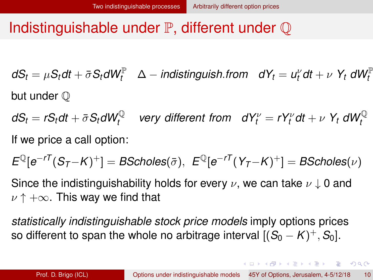<span id="page-29-0"></span> $dS_t = \mu S_t dt + \bar{\sigma} S_t dW_t^{\mathbb{P}}$  ∆ − *indistinguish.from dY*<sub>*t*</sub> =  $u_t^{\nu} dt + \nu$  Y<sub>t</sub> dW $_t^{\mathbb{P}}$ but under  $\mathbb O$ 

 $dS_t = rS_t dt + \bar{\sigma} S_t dW_t^{\mathbb{Q}}$  $\mathsf{very}$  different from  $dY_t^{\nu} = rY_t^{\nu}dt + \nu Y_t dW_t^{\mathbb{Q}}$ If we price a call option:

 $E^{\mathbb{Q}}[e^{-r\mathcal{T}}(S_{\mathcal{T}}-K)^+] = B$ Scholes $(\bar{\sigma}),\; E^{\mathbb{Q}}[e^{-r\mathcal{T}}(Y_{\mathcal{T}}-K)^+] = B$ Scholes $(\nu)$ 

Since the indistinguishability holds for every  $\nu$ , we can take  $\nu \downarrow 0$  and  $\nu \uparrow +\infty$ . This way we find that

*statistically indistinguishable stock price models* imply options prices so different to span the whole no arbitrage interval  $[(S_0 - K)^+ , S_0].$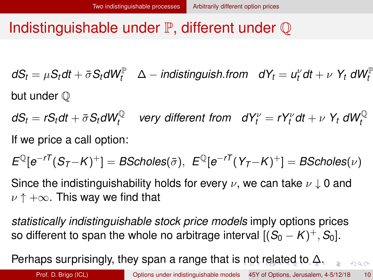<span id="page-30-0"></span> $dS_t = \mu S_t dt + \bar{\sigma} S_t dW_t^{\mathbb{P}}$  ∆ − *indistinguish.from dY*<sub>*t*</sub> =  $u_t^{\nu} dt + \nu$  Y<sub>t</sub> dW $_t^{\mathbb{P}}$ but under  $\mathbb O$ 

 $dS_t = rS_t dt + \bar{\sigma} S_t dW_t^{\mathbb{Q}}$  very different from  $dY_t^{\nu} = rY_t^{\nu} dt + \nu \; Y_t \; dW_t^{\mathbb{Q}}$ If we price a call option:

 $E^{\mathbb{Q}}[e^{-r\mathcal{T}}(S_{\mathcal{T}}-K)^+] = B$ Scholes $(\bar{\sigma}),\; E^{\mathbb{Q}}[e^{-r\mathcal{T}}(Y_{\mathcal{T}}-K)^+] = B$ Scholes $(\nu)$ 

Since the indistinguishability holds for every  $\nu$ , we can take  $\nu \downarrow 0$  and  $\nu \uparrow +\infty$ . This way we find that

*statistically indistinguishable stock price models* imply options prices so different to span the whole no arbitrage interval  $[(S_0 - K)^+ , S_0].$ 

Perhaps surprisingly, they span a range that is [n](#page-29-0)[ot](#page-31-0) [r](#page-25-0)[el](#page-26-0)[a](#page-30-0)[t](#page-31-0)[e](#page-25-0)[d](#page-26-0)[to](#page-31-0)  $\Delta$ [.](#page-34-0)

 $QQ$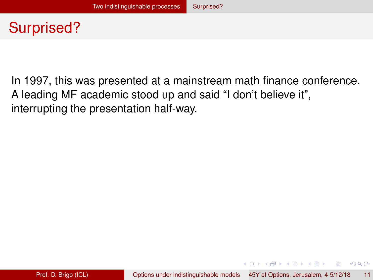# <span id="page-31-0"></span>Surprised?

In 1997, this was presented at a mainstream math finance conference. A leading MF academic stood up and said "I don't believe it", interrupting the presentation half-way.

4 0 8 4 4 9 8 4 9 8 4 9 8 1

 $QQ$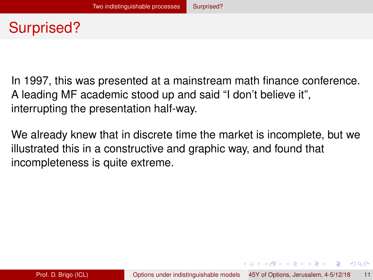# <span id="page-32-0"></span>Surprised?

In 1997, this was presented at a mainstream math finance conference. A leading MF academic stood up and said "I don't believe it", interrupting the presentation half-way.

We already knew that in discrete time the market is incomplete, but we illustrated this in a constructive and graphic way, and found that incompleteness is quite extreme.

4 0 8 4 6 8 4 9 8 4 9 8 1

G.  $\Omega$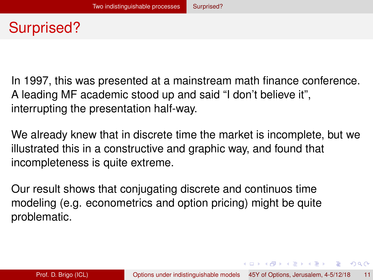# <span id="page-33-0"></span>Surprised?

In 1997, this was presented at a mainstream math finance conference. A leading MF academic stood up and said "I don't believe it", interrupting the presentation half-way.

We already knew that in discrete time the market is incomplete, but we illustrated this in a constructive and graphic way, and found that incompleteness is quite extreme.

Our result shows that conjugating discrete and continuos time modeling (e.g. econometrics and option pricing) might be quite problematic.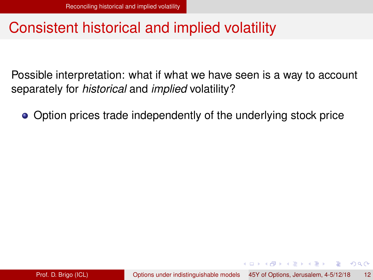### <span id="page-34-0"></span>Consistent historical and implied volatility

Possible interpretation: what if what we have seen is a way to account separately for *historical* and *implied* volatility?

• Option prices trade independently of the underlying stock price

イロト イ押 トイラト イラトー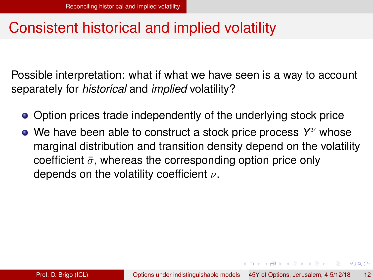### <span id="page-35-0"></span>Consistent historical and implied volatility

Possible interpretation: what if what we have seen is a way to account separately for *historical* and *implied* volatility?

- Option prices trade independently of the underlying stock price
- We have been able to construct a stock price process Y<sup>v</sup> whose marginal distribution and transition density depend on the volatility coefficient  $\bar{\sigma}$ , whereas the corresponding option price only depends on the volatility coefficient  $\nu$ .

イロト イ押ト イヨト イヨトー

G.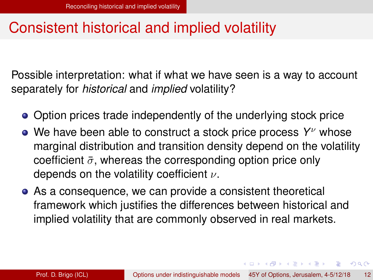### <span id="page-36-0"></span>Consistent historical and implied volatility

Possible interpretation: what if what we have seen is a way to account separately for *historical* and *implied* volatility?

- Option prices trade independently of the underlying stock price
- We have been able to construct a stock price process Y<sup>v</sup> whose marginal distribution and transition density depend on the volatility coefficient  $\bar{\sigma}$ , whereas the corresponding option price only depends on the volatility coefficient  $\nu$ .
- As a consequence, we can provide a consistent theoretical framework which justifies the differences between historical and implied volatility that are commonly observed in real markets.

4 0 8 4 6 8 4 9 8 4 9 8 1

G.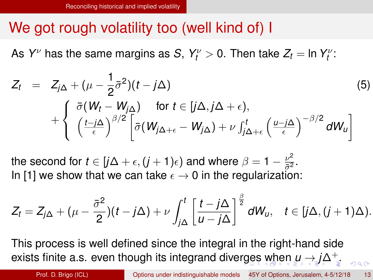### <span id="page-37-0"></span>We got rough volatility too (well kind of) I

As  $Y^\nu$  has the same margins as *S*,  $Y^\nu_t > 0$ . Then take  $Z_t =$  In  $Y^\nu_t$ :

$$
Z_{t} = Z_{j\Delta} + (\mu - \frac{1}{2}\bar{\sigma}^{2})(t - j\Delta)
$$
\n
$$
+ \begin{cases} \bar{\sigma}(W_{t} - W_{j\Delta}) & \text{for } t \in [j\Delta, j\Delta + \epsilon), \\ \left(\frac{t - j\Delta}{\epsilon}\right)^{\beta/2} \left[\bar{\sigma}(W_{j\Delta + \epsilon} - W_{j\Delta}) + \nu \int_{j\Delta + \epsilon}^{t} \left(\frac{u - j\Delta}{\epsilon}\right)^{-\beta/2} dW_{u}\right] \end{cases}
$$
\n(5)

the second for  $t \in [j\Delta + \epsilon, (j + 1)\epsilon)$  and where  $\beta = 1 - \frac{\nu^2}{\bar{\sigma}^2}$  $rac{\nu^2}{\bar{\sigma}^2}$ . In [\[1\]](#page-56-1) we show that we can take  $\epsilon \to 0$  in the regularization:

$$
Z_t = Z_{j\Delta} + (\mu - \frac{\bar{\sigma}^2}{2})(t - j\Delta) + \nu \int_{j\Delta}^t \left[ \frac{t - j\Delta}{u - j\Delta} \right]^{\frac{\beta}{2}} dW_u, \quad t \in [j\Delta, (j+1)\Delta).
$$

This process is well defined since the integral in the right-hand side exists finite a.s. even though its integrand dive[rg](#page-36-0)[es](#page-38-0)[wh](#page-37-0)[e](#page-38-0)[n](#page-33-0) *[u](#page-37-0)* [→](#page-33-0) *[j](#page-37-0)*[∆](#page-38-0)+[.](#page-57-2)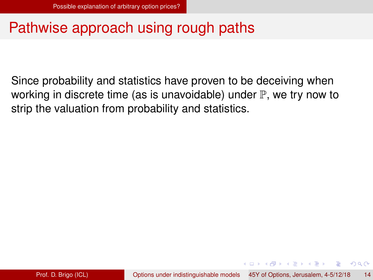### <span id="page-38-0"></span>Pathwise approach using rough paths

Since probability and statistics have proven to be deceiving when working in discrete time (as is unavoidable) under  $\mathbb P$ , we try now to strip the valuation from probability and statistics.

イロト イ押 トイラト イラトー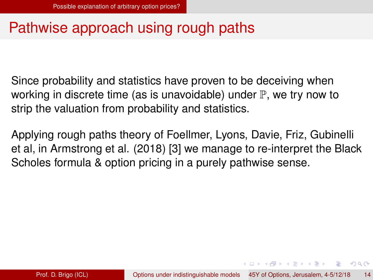### <span id="page-39-0"></span>Pathwise approach using rough paths

Since probability and statistics have proven to be deceiving when working in discrete time (as is unavoidable) under  $\mathbb P$ , we try now to strip the valuation from probability and statistics.

Applying rough paths theory of Foellmer, Lyons, Davie, Friz, Gubinelli et al, in Armstrong et al. (2018) [\[3\]](#page-56-3) we manage to re-interpret the Black Scholes formula & option pricing in a purely pathwise sense.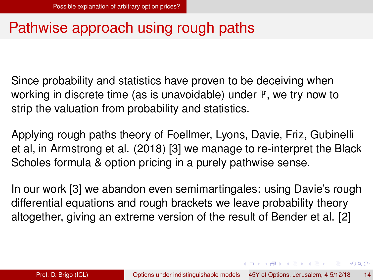### <span id="page-40-0"></span>Pathwise approach using rough paths

Since probability and statistics have proven to be deceiving when working in discrete time (as is unavoidable) under  $\mathbb P$ , we try now to strip the valuation from probability and statistics.

Applying rough paths theory of Foellmer, Lyons, Davie, Friz, Gubinelli et al, in Armstrong et al. (2018) [\[3\]](#page-56-3) we manage to re-interpret the Black Scholes formula & option pricing in a purely pathwise sense.

In our work [\[3\]](#page-56-3) we abandon even semimartingales: using Davie's rough differential equations and rough brackets we leave probability theory altogether, giving an extreme version of the result of Bender et al. [\[2\]](#page-56-4)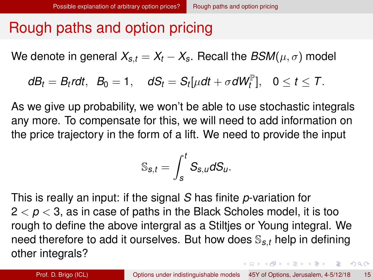<span id="page-41-0"></span>We denote in general  $X_{s,t} = X_t - X_s$ . Recall the  $BSM(\mu, \sigma)$  model

$$
dB_t=B_t r dt, \ \ B_0=1, \quad dS_t=S_t[\mu dt+\sigma dW_t^{\mathbb{P}}], \ \ 0\leq t\leq T.
$$

As we give up probability, we won't be able to use stochastic integrals any more. To compensate for this, we will need to add information on the price trajectory in the form of a lift. We need to provide the input

$$
\mathbb{S}_{s,t}=\int_s^t S_{s,u}dS_u.
$$

This is really an input: if the signal *S* has finite *p*-variation for  $2 < p < 3$ , as in case of paths in the Black Scholes model, it is too rough to define the above intergral as a Stiltjes or Young integral. We need therefore to add it ourselves. But how does S*s*,*<sup>t</sup>* help in defining other integrals?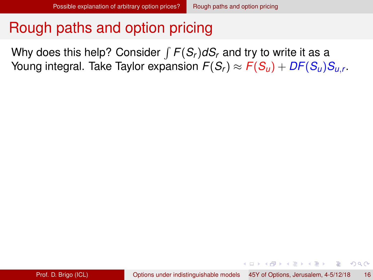<span id="page-42-0"></span>Why does this help? Consider  $\int F(S_r)dS_r$  and try to write it as a Young integral. Take Taylor expansion  $\mathit{F}( \mathcal{S}_r ) \approx \mathit{F}( \mathcal{S}_u ) + \mathit{DF}( \mathcal{S}_u ) \mathcal{S}_{u,r}$  .

イロト イ押ト イヨト イヨトー

G.  $\Omega$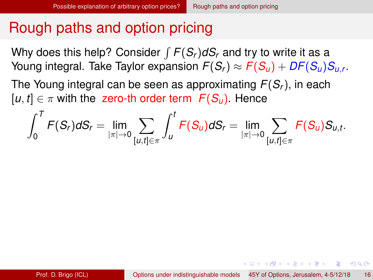<span id="page-43-0"></span>Why does this help? Consider  $\int F(S_r)dS_r$  and try to write it as a Young integral. Take Taylor expansion  $\mathit{F}( \mathcal{S}_r ) \approx \mathit{F}( \mathcal{S}_u ) + \mathit{DF}( \mathcal{S}_u ) \mathcal{S}_{u,r}$  .

The Young integral can be seen as approximating *F*(*Sr*), in each  $[u, t] \in \pi$  with the zero-th order term  $F(S_u)$ . Hence

$$
\int_0^T F(S_r) dS_r = \lim_{|\pi| \to 0} \sum_{[u,t] \in \pi} \int_u^t F(S_u) dS_r = \lim_{|\pi| \to 0} \sum_{[u,t] \in \pi} F(S_u) S_{u,t}.
$$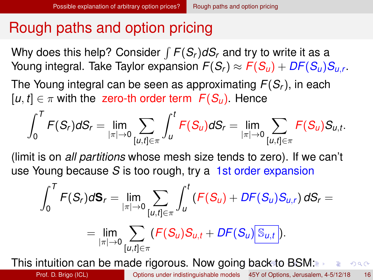<span id="page-44-0"></span>Why does this help? Consider  $\int F(S_r)dS_r$  and try to write it as a Young integral. Take Taylor expansion  $\mathit{F}( \mathcal{S}_r ) \approx \mathit{F}( \mathcal{S}_u ) + \mathit{DF}( \mathcal{S}_u ) \mathcal{S}_{u,r}$  .

The Young integral can be seen as approximating *F*(*Sr*), in each  $[u, t] \in \pi$  with the zero-th order term  $F(S_u)$ . Hence

$$
\int_0^T F(S_r) dS_r = \lim_{|\pi| \to 0} \sum_{[u,t] \in \pi} \int_u^t F(S_u) dS_r = \lim_{|\pi| \to 0} \sum_{[u,t] \in \pi} F(S_u) S_{u,t}.
$$

(limit is on *all partitions* whose mesh size tends to zero). If we can't use Young because *S* is too rough, try a 1st order expansion

$$
\int_0^T F(S_r) d\mathbf{S}_r = \lim_{|\pi| \to 0} \sum_{[u,t] \in \pi} \int_u^t (F(S_u) + DF(S_u)S_{u,r}) dS_r =
$$
  
= 
$$
\lim_{|\pi| \to 0} \sum_{[u,t] \in \pi} (F(S_u)S_{u,t} + DF(S_u)S_{u,t}).
$$

This intuition can be made rigorous. Now goin[g b](#page-43-0)[a](#page-45-0)[c](#page-41-0)[k](#page-42-0) [t](#page-44-0)[o](#page-45-0)[B](#page-41-0)[S](#page-50-0)[M](#page-37-0)[:](#page-38-0)  $\equiv$  990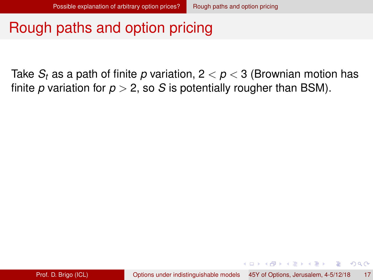<span id="page-45-0"></span>Take  $S_t$  as a path of finite p variation,  $2 < p < 3$  (Brownian motion has finite *p* variation for  $p > 2$ , so *S* is potentially rougher than BSM).

イロト イ押 トイラト イラトー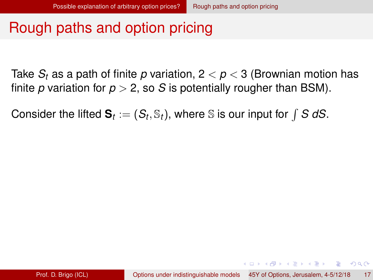<span id="page-46-0"></span>Take *S<sup>t</sup>* as a path of finite *p* variation, 2 < *p* < 3 (Brownian motion has finite *p* variation for  $p > 2$ , so *S* is potentially rougher than BSM).

Consider the lifted  $\mathbf{S}_t := (S_t, \mathbb{S}_t)$ , where  $\mathbb{S}$  is our input for  $\int \mathbf{S} \; d\mathbf{S}$ .

KOLKARIK BILKEN ARA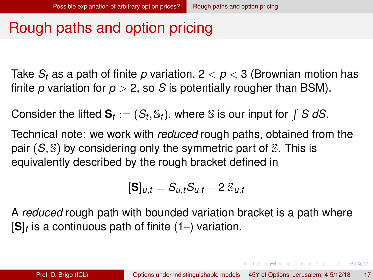<span id="page-47-0"></span>Take *S<sup>t</sup>* as a path of finite *p* variation, 2 < *p* < 3 (Brownian motion has finite *p* variation for  $p > 2$ , so *S* is potentially rougher than BSM).

Consider the lifted  $\mathbf{S}_t := (S_t, \mathbb{S}_t)$ , where  $\mathbb{S}$  is our input for  $\int \mathbf{S} \; d\mathbf{S}$ .

Technical note: we work with *reduced* rough paths, obtained from the pair (*S*, S) by considering only the symmetric part of S. This is equivalently described by the rough bracket defined in

$$
[\textbf{S}]_{u,t} = S_{u,t} S_{u,t} - 2 S_{u,t}
$$

A *reduced* rough path with bounded variation bracket is a path where [**S**]*<sup>t</sup>* is a continuous path of finite (1–) variation.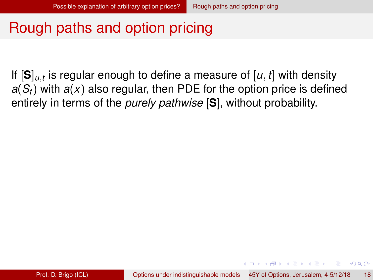<span id="page-48-0"></span>If [**S**]*u*,*<sup>t</sup>* is regular enough to define a measure of [*u*, *t*] with density  $a(S_t)$  with  $a(x)$  also regular, then PDE for the option price is defined entirely in terms of the *purely pathwise* [**S**], without probability.

イロト イ押ト イヨト イヨトー

 $\Omega$ 

œ.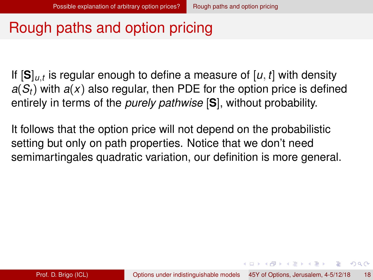<span id="page-49-0"></span>If [**S**]*u*,*<sup>t</sup>* is regular enough to define a measure of [*u*, *t*] with density  $a(S_t)$  with  $a(x)$  also regular, then PDE for the option price is defined entirely in terms of the *purely pathwise* [**S**], without probability.

It follows that the option price will not depend on the probabilistic setting but only on path properties. Notice that we don't need semimartingales quadratic variation, our definition is more general.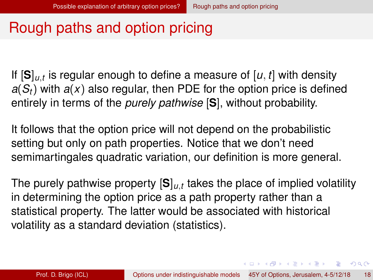<span id="page-50-0"></span>If [**S**]*u*,*<sup>t</sup>* is regular enough to define a measure of [*u*, *t*] with density  $a(S_t)$  with  $a(x)$  also regular, then PDE for the option price is defined entirely in terms of the *purely pathwise* [**S**], without probability.

It follows that the option price will not depend on the probabilistic setting but only on path properties. Notice that we don't need semimartingales quadratic variation, our definition is more general.

The purely pathwise property [**S**]*u*,*<sup>t</sup>* takes the place of implied volatility in determining the option price as a path property rather than a statistical property. The latter would be associated with historical volatility as a standard deviation (statistics).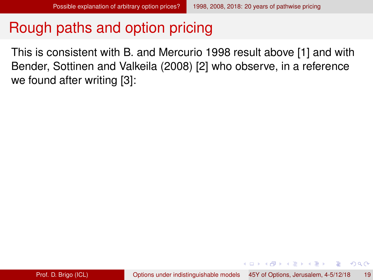<span id="page-51-0"></span>This is consistent with B. and Mercurio 1998 result above [\[1\]](#page-56-1) and with Bender, Sottinen and Valkeila (2008) [\[2\]](#page-56-4) who observe, in a reference we found after writing [\[3\]](#page-56-3):

4 0 8 4 4 9 8 4 9 8 4 9 8

в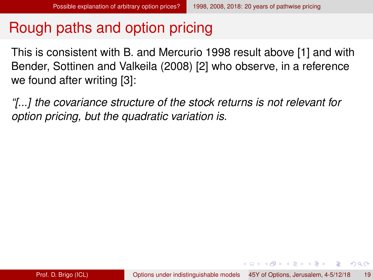<span id="page-52-0"></span>This is consistent with B. and Mercurio 1998 result above [\[1\]](#page-56-1) and with Bender, Sottinen and Valkeila (2008) [\[2\]](#page-56-4) who observe, in a reference we found after writing [\[3\]](#page-56-3):

*"[...] the covariance structure of the stock returns is not relevant for option pricing, but the quadratic variation is.*

イロト イ押 トイラ トイラトー

 $\equiv$   $\cap$   $\alpha \wedge$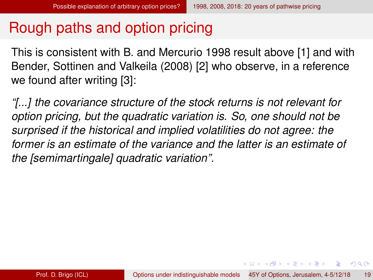<span id="page-53-0"></span>This is consistent with B. and Mercurio 1998 result above [\[1\]](#page-56-1) and with Bender, Sottinen and Valkeila (2008) [\[2\]](#page-56-4) who observe, in a reference we found after writing [\[3\]](#page-56-3):

*"[...] the covariance structure of the stock returns is not relevant for option pricing, but the quadratic variation is. So, one should not be surprised if the historical and implied volatilities do not agree: the former is an estimate of the variance and the latter is an estimate of the [semimartingale] quadratic variation".*

イロト イ押ト イヨト イヨト

 $\equiv$   $\cap$   $\alpha$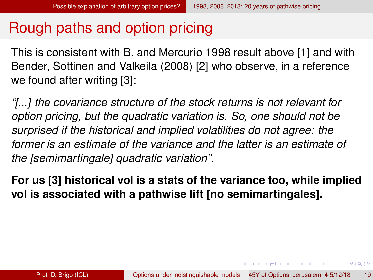<span id="page-54-0"></span>This is consistent with B. and Mercurio 1998 result above [\[1\]](#page-56-1) and with Bender, Sottinen and Valkeila (2008) [\[2\]](#page-56-4) who observe, in a reference we found after writing [\[3\]](#page-56-3):

*"[...] the covariance structure of the stock returns is not relevant for option pricing, but the quadratic variation is. So, one should not be surprised if the historical and implied volatilities do not agree: the former is an estimate of the variance and the latter is an estimate of the [semimartingale] quadratic variation".*

**For us [\[3\]](#page-56-3) historical vol is a stats of the variance too, while implied vol is associated with a pathwise lift [no semimartingales].**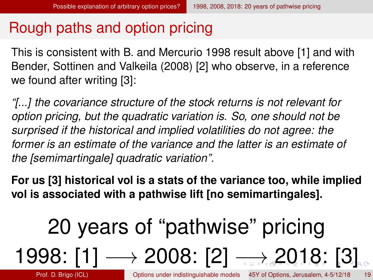<span id="page-55-0"></span>This is consistent with B. and Mercurio 1998 result above [\[1\]](#page-56-1) and with Bender, Sottinen and Valkeila (2008) [\[2\]](#page-56-4) who observe, in a reference we found after writing [\[3\]](#page-56-3):

*"[...] the covariance structure of the stock returns is not relevant for option pricing, but the quadratic variation is. So, one should not be surprised if the historical and implied volatilities do not agree: the former is an estimate of the variance and the latter is an estimate of the [semimartingale] quadratic variation".*

**For us [\[3\]](#page-56-3) historical vol is a stats of the variance too, while implied vol is associated with a pathwise lift [no semimartingales].**

# 20 years of "pathwise" pricing 1998: [\[1\]](#page-56-1) → 2008: [\[2\]](#page-56-4) [→](#page-56-0) [2](#page-56-0)[0](#page-51-0)[1](#page-56-0)[8](#page-38-0)[:](#page-56-0)[\[](#page-57-2)[3\]](#page-56-3)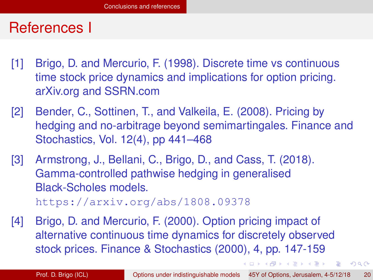### <span id="page-56-0"></span>References I

- <span id="page-56-1"></span>[1] Brigo, D. and Mercurio, F. (1998). Discrete time vs continuous time stock price dynamics and implications for option pricing. arXiv.org and SSRN.com
- <span id="page-56-4"></span>[2] Bender, C., Sottinen, T., and Valkeila, E. (2008). Pricing by hedging and no-arbitrage beyond semimartingales. Finance and Stochastics, Vol. 12(4), pp 441–468
- <span id="page-56-3"></span>[3] Armstrong, J., Bellani, C., Brigo, D., and Cass, T. (2018). Gamma-controlled pathwise hedging in generalised Black-Scholes models. <https://arxiv.org/abs/1808.09378>
- <span id="page-56-2"></span>[4] Brigo, D. and Mercurio, F. (2000). Option pricing impact of alternative continuous time dynamics for discretely observed stock prices. Finance & Stochastics (2000), 4, pp. 147-159

イロト イ押 トイラ トイラトー

G.